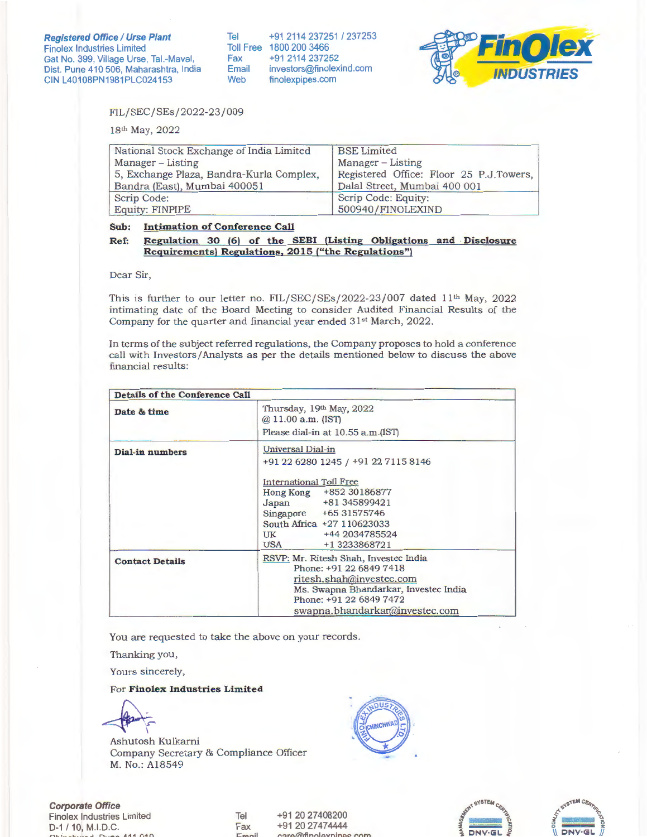Tel +91 2114 237251 / 237253 Toll Free 1800 200 3466 Fax +91 2114 237252<br>Email investors@finolex investors@finolexind.com Web finolexpipes.com



FIL/SEC/SEs/2022-23/009

18th May, 2022

| National Stock Exchange of India Limited | <b>BSE</b> Limited                      |
|------------------------------------------|-----------------------------------------|
| Manager – Listing                        | Manager – Listing                       |
| 5, Exchange Plaza, Bandra-Kurla Complex, | Registered Office: Floor 25 P.J.Towers, |
| Bandra (East), Mumbai 400051             | Dalal Street, Mumbai 400 001            |
| Scrip Code:                              | Scrip Code: Equity:                     |
| <b>Equity: FINPIPE</b>                   | 500940/FINOLEXIND                       |

**Sub: Intimation of Conference Call** 

## **Ref: Regulation 30** (6) **of the SEBI (Listing Obligations and · Disclosure Requirements) Regulations, 2015 ("the Regulations")**

Dear Sir,

This is further to our letter no. FIL/SEC/SEs/2022-23/007 dated  $11<sup>th</sup>$  May, 2022 intimating date of the Board Meeting to consider Audited Financial Results of the Company for the quarter and financial year ended 31st March, 2022.

In terms of the subject referred regulations, the Company proposes to hold a conference call with Investors/ Analysts as per the details mentioned below to discuss the above financial results:

| Details of the Conference Call |                                                                                                                                                                                                                                         |  |
|--------------------------------|-----------------------------------------------------------------------------------------------------------------------------------------------------------------------------------------------------------------------------------------|--|
| Date & time                    | Thursday, 19th May, 2022<br>$@.11.00$ a.m. (IST)<br>Please dial-in at 10.55 a.m. (IST)                                                                                                                                                  |  |
| Dial-in numbers                | Universal Dial-in<br>+91 22 6280 1245 / +91 22 7115 8146<br>International Toll Free<br>Hong Kong +852 30186877<br>Japan +81 345899421<br>Singapore +65 31575746<br>South Africa +27 110623033<br>UK +44 2034785524<br>USA +1 3233868721 |  |
| <b>Contact Details</b>         | RSVP: Mr. Ritesh Shah, Investec India<br>Phone: +91 22 6849 7418<br>ritesh.shah@investec.com<br>Ms. Swapna Bhandarkar, Investec India<br>Phone: +91 22 6849 7472<br>swapna.bhandarkar@investec.com                                      |  |

You are requested to take the above on your records.

Thanking you,

Yours sincerely,

## For **Finolex Industries Limited**

Ashutosh Kulkarni Company Secretary & Compliance Officer M. No.: A18549



**Corporate Office**  Finolex Industries Limited D-1 / 10, M.1.D.C. **f""'h f .......... L-.. .......... ,..1 D1 <sup>1</sup> 1"\ 1"1.** *A* **<sup>1</sup> 1 n10** 

Tel Fax **t:mt:lil**  +91 20 27408200 +91 20 27474444  $\bigcirc$  finn